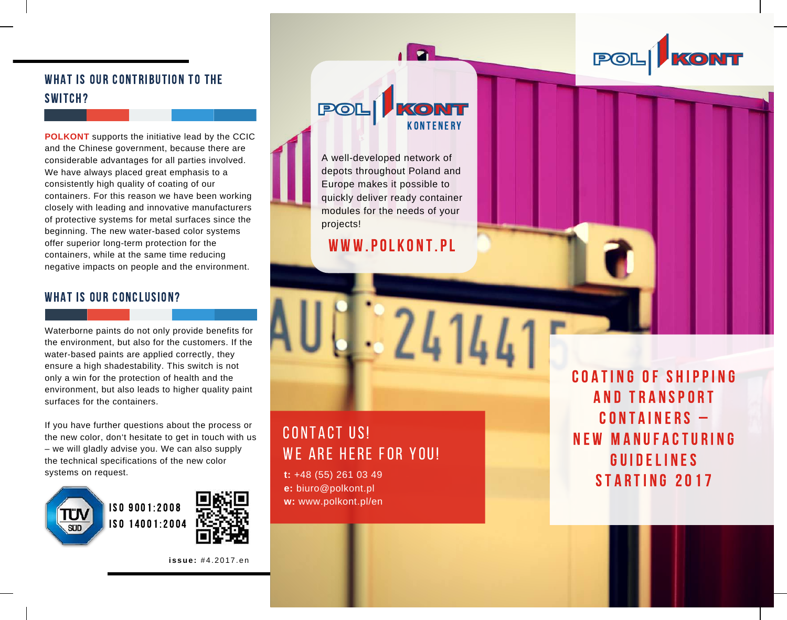WHAT IS OUR CONTRIBUTION TO THE switch?

**POLKONT** supports the initiative lead by the CCIC and the Chinese government, because there are considerable advantages for all parties involved. We have always placed great emphasis to a consistently high quality of coating of our containers. For this reason we have been working closely with leading and innovative manufacturers of protective systems for metal surfaces since the beginning. The new water-based color systems offer superior long-term protection for the containers, while at the same time reducing negative impacts on people and the environment.

### WHAT IS OUR CONCLUSION?

Waterborne paints do not only provide benefits for the environment, but also for the customers. If the water-based paints are applied correctly, they ensure a high shadestability. This switch is not only a win for the protection of health and the environment, but also leads to higher quality paint surfaces for the containers.

If you have further questions about the process or the new color, don't hesitate to get in touch with us – we will gladly advise you. We can also supply the technical specifications of the new color systems on request.





**i s sue :** # 4 . 2 0 1 7 . e n



A well-developed network of depots throughout Poland and Europe makes it possible to quickly deliver ready container modules for the needs of your projects!

## WWW.POLKONT.PL

# CONTACT US! WE ARE HERE FOR YOU!

**t:** +48 (55) 261 03 49 **e:** biuro@polkont.pl **w:** www.polkont.pl/en COATING OF SHIPPING AND TRANSPORT  $COMTA INERS -$ N E W M A N UF A CTU R I N G **GUIDELINES** STARTING 2017

POL KONT